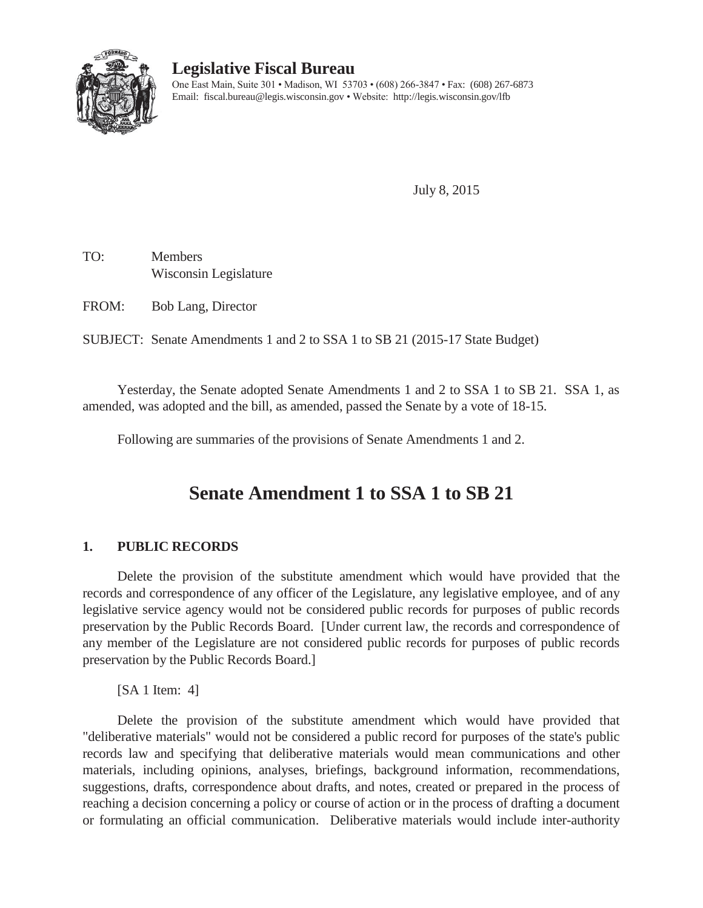

## **Legislative Fiscal Bureau**

One East Main, Suite 301 • Madison, WI 53703 • (608) 266-3847 • Fax: (608) 267-6873 Email: fiscal.bureau@legis.wisconsin.gov • Website: http://legis.wisconsin.gov/lfb

July 8, 2015

TO: Members Wisconsin Legislature

FROM: Bob Lang, Director

SUBJECT: Senate Amendments 1 and 2 to SSA 1 to SB 21 (2015-17 State Budget)

 Yesterday, the Senate adopted Senate Amendments 1 and 2 to SSA 1 to SB 21. SSA 1, as amended, was adopted and the bill, as amended, passed the Senate by a vote of 18-15.

Following are summaries of the provisions of Senate Amendments 1 and 2.

# **Senate Amendment 1 to SSA 1 to SB 21**

#### **1. PUBLIC RECORDS**

 Delete the provision of the substitute amendment which would have provided that the records and correspondence of any officer of the Legislature, any legislative employee, and of any legislative service agency would not be considered public records for purposes of public records preservation by the Public Records Board. [Under current law, the records and correspondence of any member of the Legislature are not considered public records for purposes of public records preservation by the Public Records Board.]

 $[SA 1$  Item: 4]

 Delete the provision of the substitute amendment which would have provided that "deliberative materials" would not be considered a public record for purposes of the state's public records law and specifying that deliberative materials would mean communications and other materials, including opinions, analyses, briefings, background information, recommendations, suggestions, drafts, correspondence about drafts, and notes, created or prepared in the process of reaching a decision concerning a policy or course of action or in the process of drafting a document or formulating an official communication. Deliberative materials would include inter-authority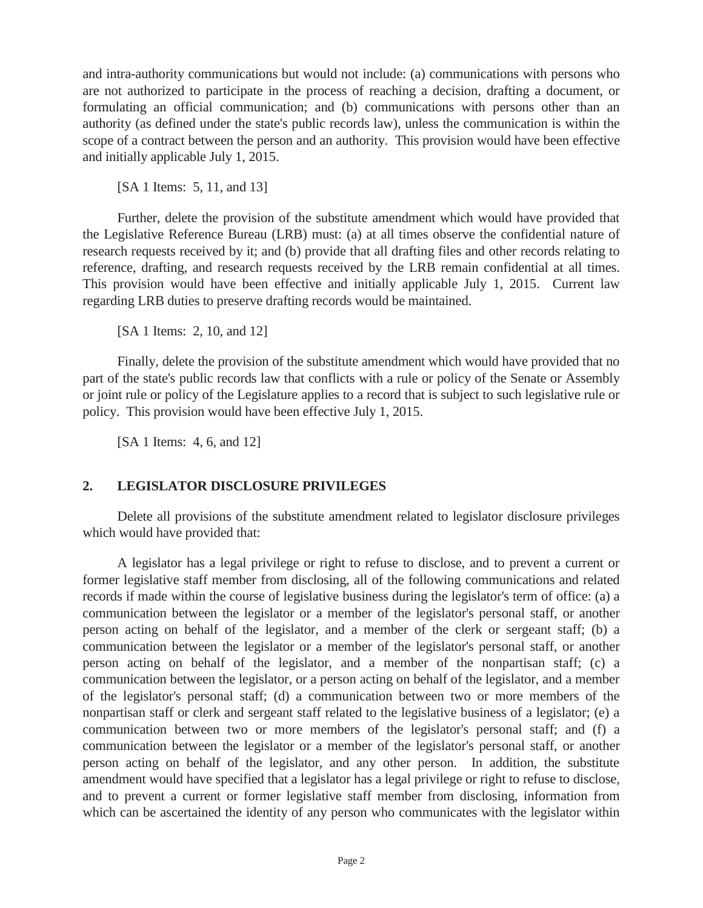and intra-authority communications but would not include: (a) communications with persons who are not authorized to participate in the process of reaching a decision, drafting a document, or formulating an official communication; and (b) communications with persons other than an authority (as defined under the state's public records law), unless the communication is within the scope of a contract between the person and an authority. This provision would have been effective and initially applicable July 1, 2015.

[SA 1 Items: 5, 11, and 13]

 Further, delete the provision of the substitute amendment which would have provided that the Legislative Reference Bureau (LRB) must: (a) at all times observe the confidential nature of research requests received by it; and (b) provide that all drafting files and other records relating to reference, drafting, and research requests received by the LRB remain confidential at all times. This provision would have been effective and initially applicable July 1, 2015. Current law regarding LRB duties to preserve drafting records would be maintained.

[SA 1 Items: 2, 10, and 12]

 Finally, delete the provision of the substitute amendment which would have provided that no part of the state's public records law that conflicts with a rule or policy of the Senate or Assembly or joint rule or policy of the Legislature applies to a record that is subject to such legislative rule or policy. This provision would have been effective July 1, 2015.

[SA 1 Items: 4, 6, and 12]

#### **2. LEGISLATOR DISCLOSURE PRIVILEGES**

 Delete all provisions of the substitute amendment related to legislator disclosure privileges which would have provided that:

 A legislator has a legal privilege or right to refuse to disclose, and to prevent a current or former legislative staff member from disclosing, all of the following communications and related records if made within the course of legislative business during the legislator's term of office: (a) a communication between the legislator or a member of the legislator's personal staff, or another person acting on behalf of the legislator, and a member of the clerk or sergeant staff; (b) a communication between the legislator or a member of the legislator's personal staff, or another person acting on behalf of the legislator, and a member of the nonpartisan staff; (c) a communication between the legislator, or a person acting on behalf of the legislator, and a member of the legislator's personal staff; (d) a communication between two or more members of the nonpartisan staff or clerk and sergeant staff related to the legislative business of a legislator; (e) a communication between two or more members of the legislator's personal staff; and (f) a communication between the legislator or a member of the legislator's personal staff, or another person acting on behalf of the legislator, and any other person. In addition, the substitute amendment would have specified that a legislator has a legal privilege or right to refuse to disclose, and to prevent a current or former legislative staff member from disclosing, information from which can be ascertained the identity of any person who communicates with the legislator within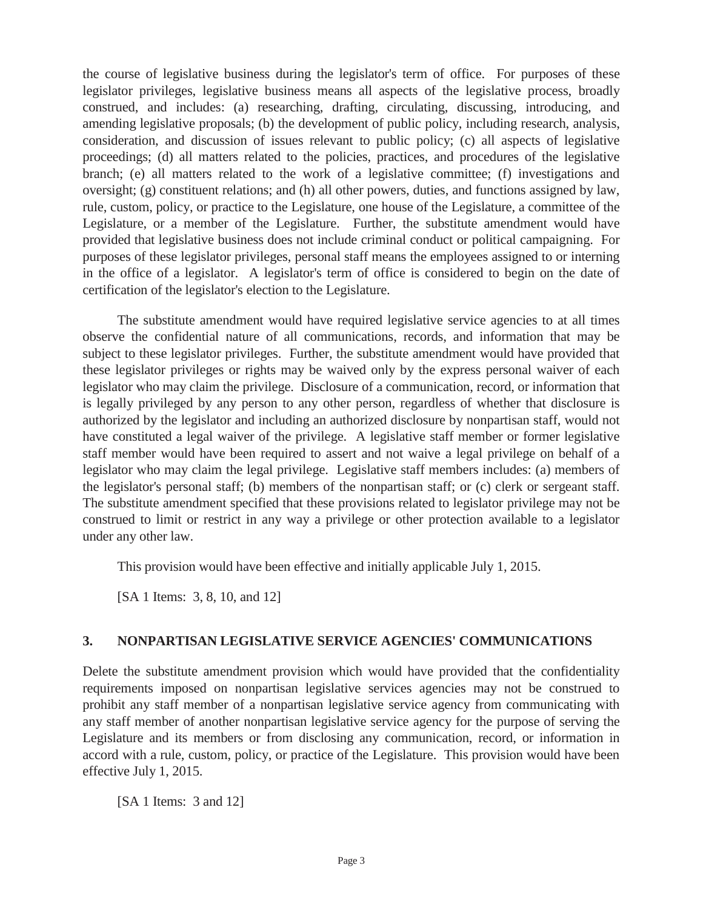the course of legislative business during the legislator's term of office. For purposes of these legislator privileges, legislative business means all aspects of the legislative process, broadly construed, and includes: (a) researching, drafting, circulating, discussing, introducing, and amending legislative proposals; (b) the development of public policy, including research, analysis, consideration, and discussion of issues relevant to public policy; (c) all aspects of legislative proceedings; (d) all matters related to the policies, practices, and procedures of the legislative branch; (e) all matters related to the work of a legislative committee; (f) investigations and oversight; (g) constituent relations; and (h) all other powers, duties, and functions assigned by law, rule, custom, policy, or practice to the Legislature, one house of the Legislature, a committee of the Legislature, or a member of the Legislature. Further, the substitute amendment would have provided that legislative business does not include criminal conduct or political campaigning. For purposes of these legislator privileges, personal staff means the employees assigned to or interning in the office of a legislator. A legislator's term of office is considered to begin on the date of certification of the legislator's election to the Legislature.

 The substitute amendment would have required legislative service agencies to at all times observe the confidential nature of all communications, records, and information that may be subject to these legislator privileges. Further, the substitute amendment would have provided that these legislator privileges or rights may be waived only by the express personal waiver of each legislator who may claim the privilege. Disclosure of a communication, record, or information that is legally privileged by any person to any other person, regardless of whether that disclosure is authorized by the legislator and including an authorized disclosure by nonpartisan staff, would not have constituted a legal waiver of the privilege. A legislative staff member or former legislative staff member would have been required to assert and not waive a legal privilege on behalf of a legislator who may claim the legal privilege. Legislative staff members includes: (a) members of the legislator's personal staff; (b) members of the nonpartisan staff; or (c) clerk or sergeant staff. The substitute amendment specified that these provisions related to legislator privilege may not be construed to limit or restrict in any way a privilege or other protection available to a legislator under any other law.

This provision would have been effective and initially applicable July 1, 2015.

[SA 1 Items: 3, 8, 10, and 12]

#### **3. NONPARTISAN LEGISLATIVE SERVICE AGENCIES' COMMUNICATIONS**

Delete the substitute amendment provision which would have provided that the confidentiality requirements imposed on nonpartisan legislative services agencies may not be construed to prohibit any staff member of a nonpartisan legislative service agency from communicating with any staff member of another nonpartisan legislative service agency for the purpose of serving the Legislature and its members or from disclosing any communication, record, or information in accord with a rule, custom, policy, or practice of the Legislature. This provision would have been effective July 1, 2015.

[SA 1 Items: 3 and 12]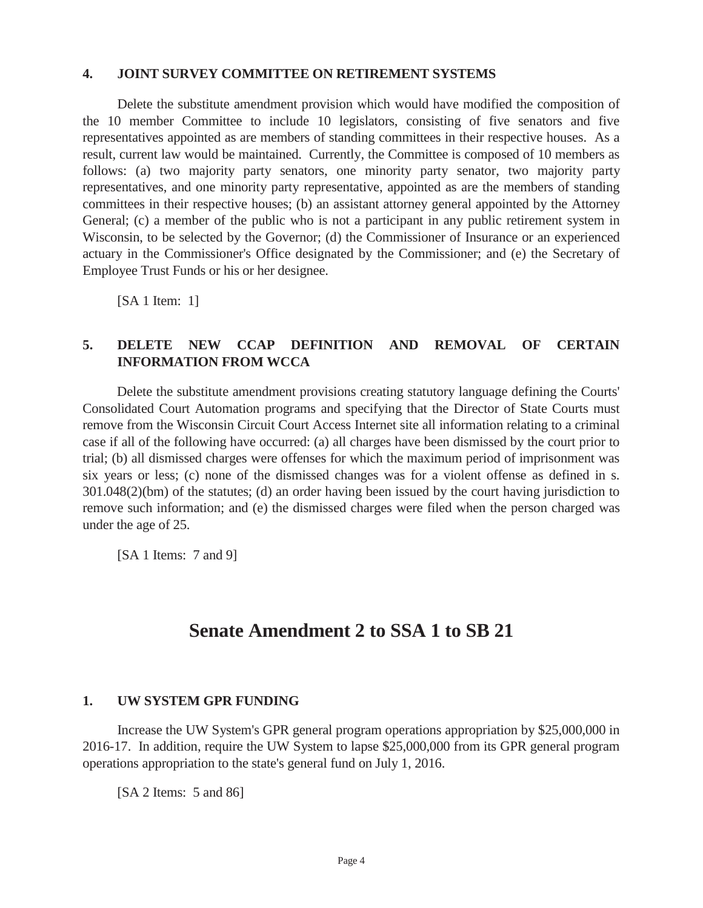#### **4. JOINT SURVEY COMMITTEE ON RETIREMENT SYSTEMS**

 Delete the substitute amendment provision which would have modified the composition of the 10 member Committee to include 10 legislators, consisting of five senators and five representatives appointed as are members of standing committees in their respective houses. As a result, current law would be maintained. Currently, the Committee is composed of 10 members as follows: (a) two majority party senators, one minority party senator, two majority party representatives, and one minority party representative, appointed as are the members of standing committees in their respective houses; (b) an assistant attorney general appointed by the Attorney General; (c) a member of the public who is not a participant in any public retirement system in Wisconsin, to be selected by the Governor; (d) the Commissioner of Insurance or an experienced actuary in the Commissioner's Office designated by the Commissioner; and (e) the Secretary of Employee Trust Funds or his or her designee.

[SA 1 Item: 1]

#### **5. DELETE NEW CCAP DEFINITION AND REMOVAL OF CERTAIN INFORMATION FROM WCCA**

 Delete the substitute amendment provisions creating statutory language defining the Courts' Consolidated Court Automation programs and specifying that the Director of State Courts must remove from the Wisconsin Circuit Court Access Internet site all information relating to a criminal case if all of the following have occurred: (a) all charges have been dismissed by the court prior to trial; (b) all dismissed charges were offenses for which the maximum period of imprisonment was six years or less; (c) none of the dismissed changes was for a violent offense as defined in s. 301.048(2)(bm) of the statutes; (d) an order having been issued by the court having jurisdiction to remove such information; and (e) the dismissed charges were filed when the person charged was under the age of 25.

[SA 1 Items: 7 and 9]

## **Senate Amendment 2 to SSA 1 to SB 21**

#### **1. UW SYSTEM GPR FUNDING**

 Increase the UW System's GPR general program operations appropriation by \$25,000,000 in 2016-17. In addition, require the UW System to lapse \$25,000,000 from its GPR general program operations appropriation to the state's general fund on July 1, 2016.

[SA 2 Items: 5 and 86]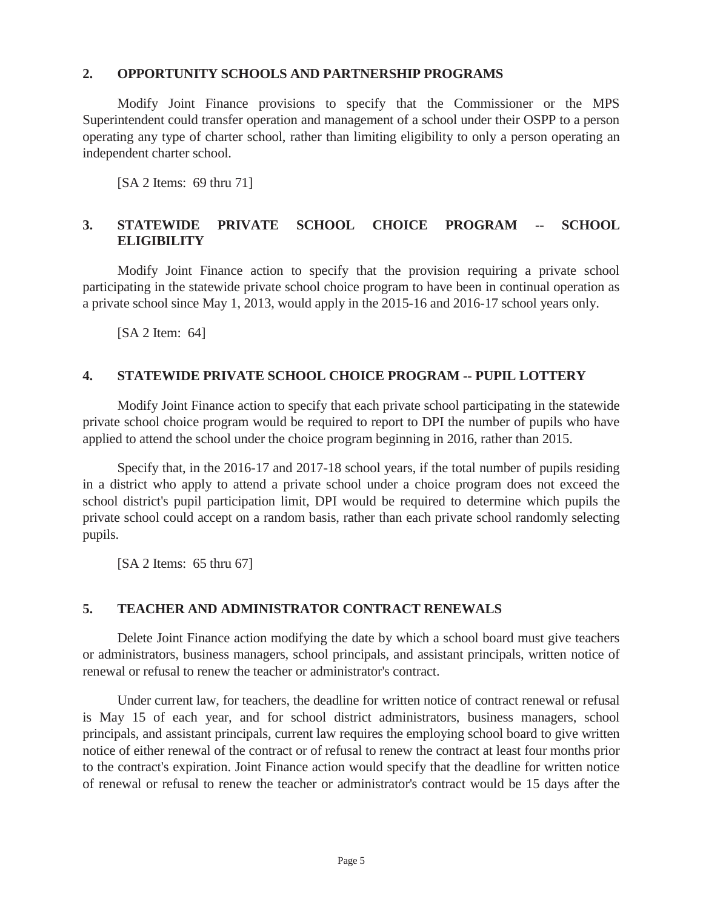#### **2. OPPORTUNITY SCHOOLS AND PARTNERSHIP PROGRAMS**

 Modify Joint Finance provisions to specify that the Commissioner or the MPS Superintendent could transfer operation and management of a school under their OSPP to a person operating any type of charter school, rather than limiting eligibility to only a person operating an independent charter school.

[SA 2 Items: 69 thru 71]

#### **3. STATEWIDE PRIVATE SCHOOL CHOICE PROGRAM -- SCHOOL ELIGIBILITY**

 Modify Joint Finance action to specify that the provision requiring a private school participating in the statewide private school choice program to have been in continual operation as a private school since May 1, 2013, would apply in the 2015-16 and 2016-17 school years only.

[SA 2 Item: 64]

#### **4. STATEWIDE PRIVATE SCHOOL CHOICE PROGRAM -- PUPIL LOTTERY**

 Modify Joint Finance action to specify that each private school participating in the statewide private school choice program would be required to report to DPI the number of pupils who have applied to attend the school under the choice program beginning in 2016, rather than 2015.

 Specify that, in the 2016-17 and 2017-18 school years, if the total number of pupils residing in a district who apply to attend a private school under a choice program does not exceed the school district's pupil participation limit, DPI would be required to determine which pupils the private school could accept on a random basis, rather than each private school randomly selecting pupils.

[SA 2 Items: 65 thru 67]

#### **5. TEACHER AND ADMINISTRATOR CONTRACT RENEWALS**

 Delete Joint Finance action modifying the date by which a school board must give teachers or administrators, business managers, school principals, and assistant principals, written notice of renewal or refusal to renew the teacher or administrator's contract.

 Under current law, for teachers, the deadline for written notice of contract renewal or refusal is May 15 of each year, and for school district administrators, business managers, school principals, and assistant principals, current law requires the employing school board to give written notice of either renewal of the contract or of refusal to renew the contract at least four months prior to the contract's expiration. Joint Finance action would specify that the deadline for written notice of renewal or refusal to renew the teacher or administrator's contract would be 15 days after the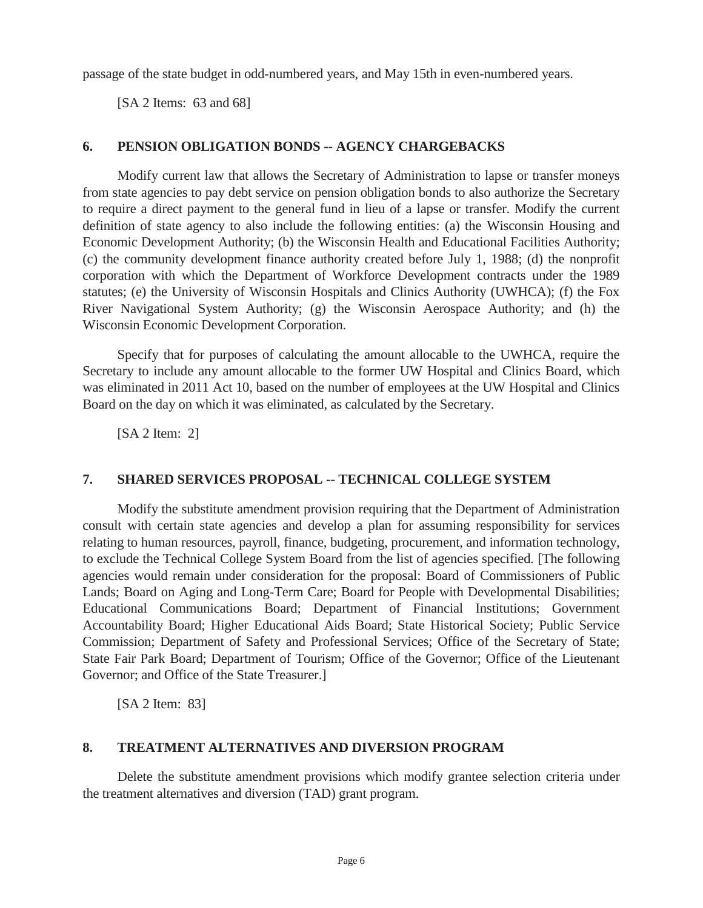passage of the state budget in odd-numbered years, and May 15th in even-numbered years.

[SA 2 Items: 63 and 68]

#### **6. PENSION OBLIGATION BONDS -- AGENCY CHARGEBACKS**

 Modify current law that allows the Secretary of Administration to lapse or transfer moneys from state agencies to pay debt service on pension obligation bonds to also authorize the Secretary to require a direct payment to the general fund in lieu of a lapse or transfer. Modify the current definition of state agency to also include the following entities: (a) the Wisconsin Housing and Economic Development Authority; (b) the Wisconsin Health and Educational Facilities Authority; (c) the community development finance authority created before July 1, 1988; (d) the nonprofit corporation with which the Department of Workforce Development contracts under the 1989 statutes; (e) the University of Wisconsin Hospitals and Clinics Authority (UWHCA); (f) the Fox River Navigational System Authority; (g) the Wisconsin Aerospace Authority; and (h) the Wisconsin Economic Development Corporation.

 Specify that for purposes of calculating the amount allocable to the UWHCA, require the Secretary to include any amount allocable to the former UW Hospital and Clinics Board, which was eliminated in 2011 Act 10, based on the number of employees at the UW Hospital and Clinics Board on the day on which it was eliminated, as calculated by the Secretary.

[SA 2 Item: 2]

## **7. SHARED SERVICES PROPOSAL -- TECHNICAL COLLEGE SYSTEM**

 Modify the substitute amendment provision requiring that the Department of Administration consult with certain state agencies and develop a plan for assuming responsibility for services relating to human resources, payroll, finance, budgeting, procurement, and information technology, to exclude the Technical College System Board from the list of agencies specified. [The following agencies would remain under consideration for the proposal: Board of Commissioners of Public Lands; Board on Aging and Long-Term Care; Board for People with Developmental Disabilities; Educational Communications Board; Department of Financial Institutions; Government Accountability Board; Higher Educational Aids Board; State Historical Society; Public Service Commission; Department of Safety and Professional Services; Office of the Secretary of State; State Fair Park Board; Department of Tourism; Office of the Governor; Office of the Lieutenant Governor; and Office of the State Treasurer.]

[SA 2 Item: 83]

#### **8. TREATMENT ALTERNATIVES AND DIVERSION PROGRAM**

Delete the substitute amendment provisions which modify grantee selection criteria under the treatment alternatives and diversion (TAD) grant program.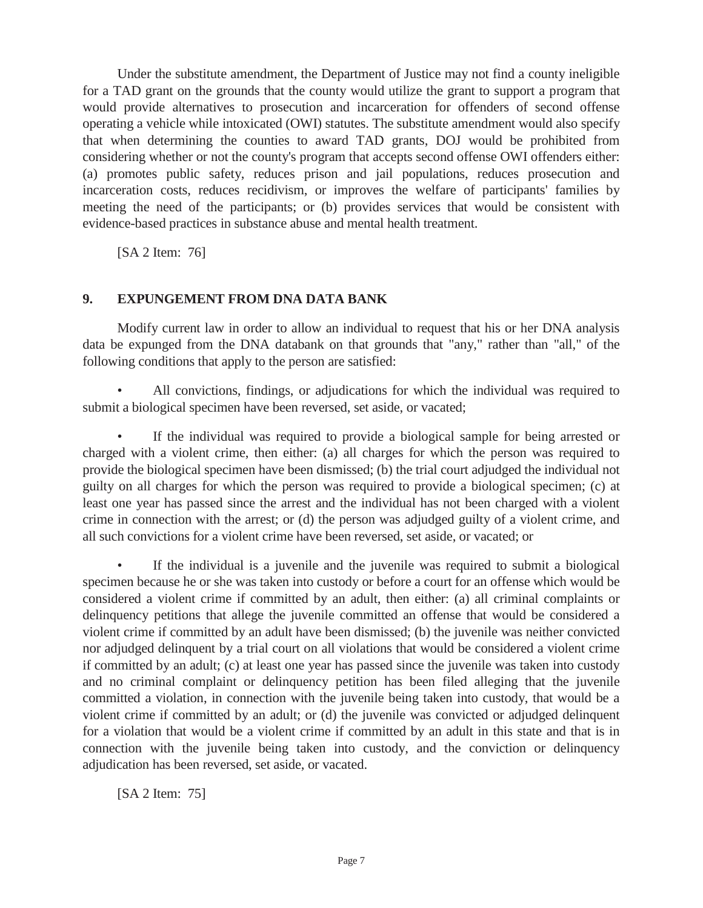Under the substitute amendment, the Department of Justice may not find a county ineligible for a TAD grant on the grounds that the county would utilize the grant to support a program that would provide alternatives to prosecution and incarceration for offenders of second offense operating a vehicle while intoxicated (OWI) statutes. The substitute amendment would also specify that when determining the counties to award TAD grants, DOJ would be prohibited from considering whether or not the county's program that accepts second offense OWI offenders either: (a) promotes public safety, reduces prison and jail populations, reduces prosecution and incarceration costs, reduces recidivism, or improves the welfare of participants' families by meeting the need of the participants; or (b) provides services that would be consistent with evidence-based practices in substance abuse and mental health treatment.

[SA 2 Item: 76]

#### **9. EXPUNGEMENT FROM DNA DATA BANK**

 Modify current law in order to allow an individual to request that his or her DNA analysis data be expunged from the DNA databank on that grounds that "any," rather than "all," of the following conditions that apply to the person are satisfied:

All convictions, findings, or adjudications for which the individual was required to submit a biological specimen have been reversed, set aside, or vacated;

If the individual was required to provide a biological sample for being arrested or charged with a violent crime, then either: (a) all charges for which the person was required to provide the biological specimen have been dismissed; (b) the trial court adjudged the individual not guilty on all charges for which the person was required to provide a biological specimen; (c) at least one year has passed since the arrest and the individual has not been charged with a violent crime in connection with the arrest; or (d) the person was adjudged guilty of a violent crime, and all such convictions for a violent crime have been reversed, set aside, or vacated; or

If the individual is a juvenile and the juvenile was required to submit a biological specimen because he or she was taken into custody or before a court for an offense which would be considered a violent crime if committed by an adult, then either: (a) all criminal complaints or delinquency petitions that allege the juvenile committed an offense that would be considered a violent crime if committed by an adult have been dismissed; (b) the juvenile was neither convicted nor adjudged delinquent by a trial court on all violations that would be considered a violent crime if committed by an adult; (c) at least one year has passed since the juvenile was taken into custody and no criminal complaint or delinquency petition has been filed alleging that the juvenile committed a violation, in connection with the juvenile being taken into custody, that would be a violent crime if committed by an adult; or (d) the juvenile was convicted or adjudged delinquent for a violation that would be a violent crime if committed by an adult in this state and that is in connection with the juvenile being taken into custody, and the conviction or delinquency adjudication has been reversed, set aside, or vacated.

[SA 2 Item: 75]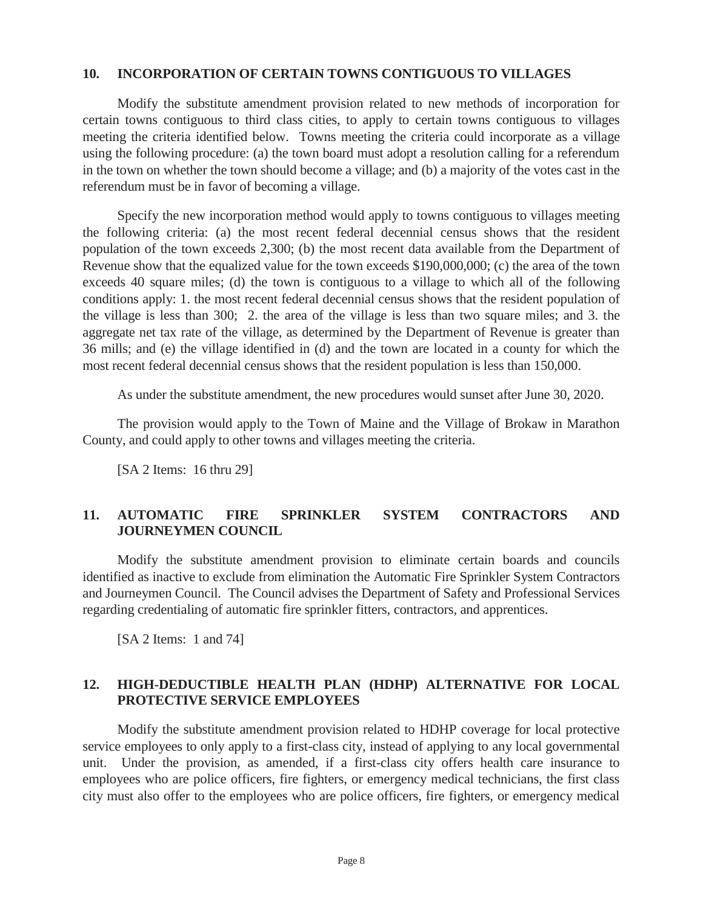#### **10. INCORPORATION OF CERTAIN TOWNS CONTIGUOUS TO VILLAGES**

 Modify the substitute amendment provision related to new methods of incorporation for certain towns contiguous to third class cities, to apply to certain towns contiguous to villages meeting the criteria identified below. Towns meeting the criteria could incorporate as a village using the following procedure: (a) the town board must adopt a resolution calling for a referendum in the town on whether the town should become a village; and (b) a majority of the votes cast in the referendum must be in favor of becoming a village.

 Specify the new incorporation method would apply to towns contiguous to villages meeting the following criteria: (a) the most recent federal decennial census shows that the resident population of the town exceeds 2,300; (b) the most recent data available from the Department of Revenue show that the equalized value for the town exceeds \$190,000,000; (c) the area of the town exceeds 40 square miles; (d) the town is contiguous to a village to which all of the following conditions apply: 1. the most recent federal decennial census shows that the resident population of the village is less than 300; 2. the area of the village is less than two square miles; and 3. the aggregate net tax rate of the village, as determined by the Department of Revenue is greater than 36 mills; and (e) the village identified in (d) and the town are located in a county for which the most recent federal decennial census shows that the resident population is less than 150,000.

As under the substitute amendment, the new procedures would sunset after June 30, 2020.

 The provision would apply to the Town of Maine and the Village of Brokaw in Marathon County, and could apply to other towns and villages meeting the criteria.

[SA 2 Items: 16 thru 29]

#### **11. AUTOMATIC FIRE SPRINKLER SYSTEM CONTRACTORS AND JOURNEYMEN COUNCIL**

 Modify the substitute amendment provision to eliminate certain boards and councils identified as inactive to exclude from elimination the Automatic Fire Sprinkler System Contractors and Journeymen Council. The Council advises the Department of Safety and Professional Services regarding credentialing of automatic fire sprinkler fitters, contractors, and apprentices.

[SA 2 Items: 1 and 74]

#### **12. HIGH-DEDUCTIBLE HEALTH PLAN (HDHP) ALTERNATIVE FOR LOCAL PROTECTIVE SERVICE EMPLOYEES**

 Modify the substitute amendment provision related to HDHP coverage for local protective service employees to only apply to a first-class city, instead of applying to any local governmental unit. Under the provision, as amended, if a first-class city offers health care insurance to employees who are police officers, fire fighters, or emergency medical technicians, the first class city must also offer to the employees who are police officers, fire fighters, or emergency medical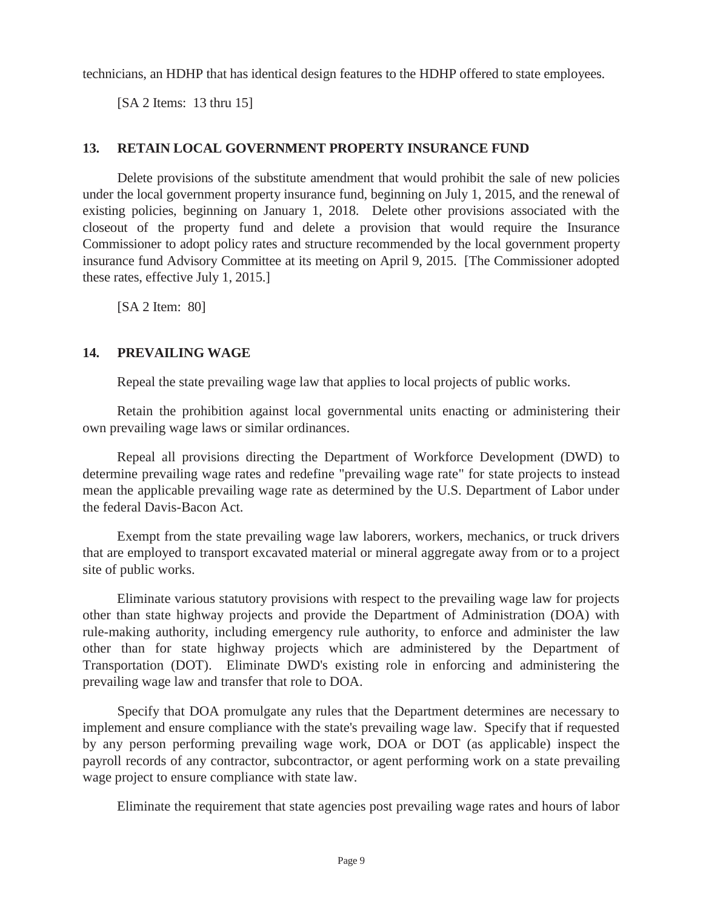technicians, an HDHP that has identical design features to the HDHP offered to state employees.

[SA 2 Items: 13 thru 15]

#### **13. RETAIN LOCAL GOVERNMENT PROPERTY INSURANCE FUND**

Delete provisions of the substitute amendment that would prohibit the sale of new policies under the local government property insurance fund, beginning on July 1, 2015, and the renewal of existing policies, beginning on January 1, 2018. Delete other provisions associated with the closeout of the property fund and delete a provision that would require the Insurance Commissioner to adopt policy rates and structure recommended by the local government property insurance fund Advisory Committee at its meeting on April 9, 2015. [The Commissioner adopted these rates, effective July 1, 2015.]

[SA 2 Item: 80]

#### **14. PREVAILING WAGE**

Repeal the state prevailing wage law that applies to local projects of public works.

 Retain the prohibition against local governmental units enacting or administering their own prevailing wage laws or similar ordinances.

 Repeal all provisions directing the Department of Workforce Development (DWD) to determine prevailing wage rates and redefine "prevailing wage rate" for state projects to instead mean the applicable prevailing wage rate as determined by the U.S. Department of Labor under the federal Davis-Bacon Act.

 Exempt from the state prevailing wage law laborers, workers, mechanics, or truck drivers that are employed to transport excavated material or mineral aggregate away from or to a project site of public works.

 Eliminate various statutory provisions with respect to the prevailing wage law for projects other than state highway projects and provide the Department of Administration (DOA) with rule-making authority, including emergency rule authority, to enforce and administer the law other than for state highway projects which are administered by the Department of Transportation (DOT). Eliminate DWD's existing role in enforcing and administering the prevailing wage law and transfer that role to DOA.

 Specify that DOA promulgate any rules that the Department determines are necessary to implement and ensure compliance with the state's prevailing wage law. Specify that if requested by any person performing prevailing wage work, DOA or DOT (as applicable) inspect the payroll records of any contractor, subcontractor, or agent performing work on a state prevailing wage project to ensure compliance with state law.

Eliminate the requirement that state agencies post prevailing wage rates and hours of labor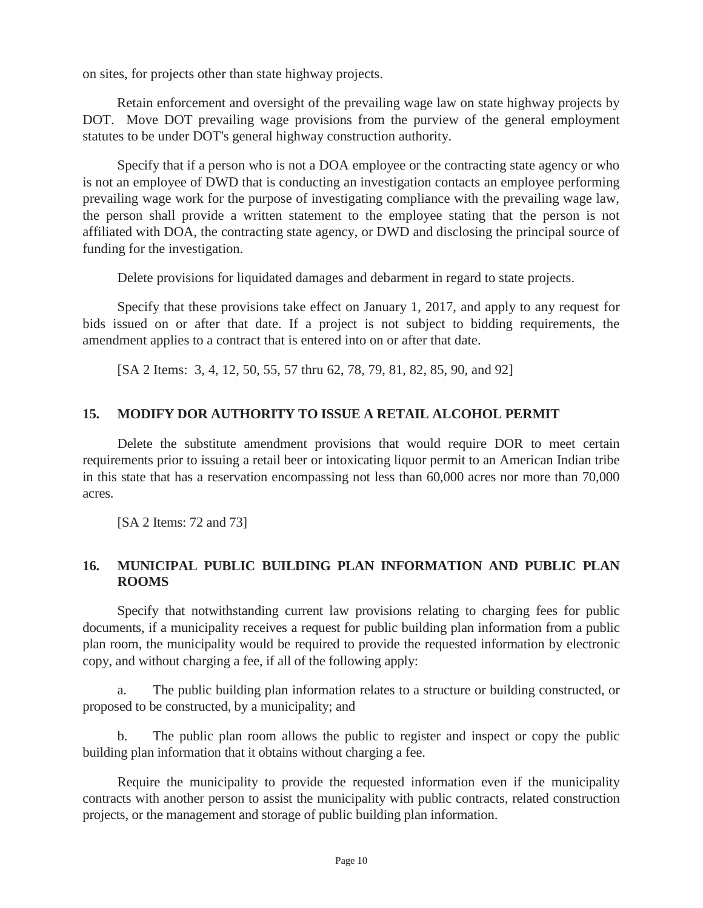on sites, for projects other than state highway projects.

 Retain enforcement and oversight of the prevailing wage law on state highway projects by DOT. Move DOT prevailing wage provisions from the purview of the general employment statutes to be under DOT's general highway construction authority.

 Specify that if a person who is not a DOA employee or the contracting state agency or who is not an employee of DWD that is conducting an investigation contacts an employee performing prevailing wage work for the purpose of investigating compliance with the prevailing wage law, the person shall provide a written statement to the employee stating that the person is not affiliated with DOA, the contracting state agency, or DWD and disclosing the principal source of funding for the investigation.

Delete provisions for liquidated damages and debarment in regard to state projects.

 Specify that these provisions take effect on January 1, 2017, and apply to any request for bids issued on or after that date. If a project is not subject to bidding requirements, the amendment applies to a contract that is entered into on or after that date.

[SA 2 Items: 3, 4, 12, 50, 55, 57 thru 62, 78, 79, 81, 82, 85, 90, and 92]

## **15. MODIFY DOR AUTHORITY TO ISSUE A RETAIL ALCOHOL PERMIT**

Delete the substitute amendment provisions that would require DOR to meet certain requirements prior to issuing a retail beer or intoxicating liquor permit to an American Indian tribe in this state that has a reservation encompassing not less than 60,000 acres nor more than 70,000 acres.

[SA 2 Items: 72 and 73]

#### **16. MUNICIPAL PUBLIC BUILDING PLAN INFORMATION AND PUBLIC PLAN ROOMS**

 Specify that notwithstanding current law provisions relating to charging fees for public documents, if a municipality receives a request for public building plan information from a public plan room, the municipality would be required to provide the requested information by electronic copy, and without charging a fee, if all of the following apply:

 a. The public building plan information relates to a structure or building constructed, or proposed to be constructed, by a municipality; and

 b. The public plan room allows the public to register and inspect or copy the public building plan information that it obtains without charging a fee.

 Require the municipality to provide the requested information even if the municipality contracts with another person to assist the municipality with public contracts, related construction projects, or the management and storage of public building plan information.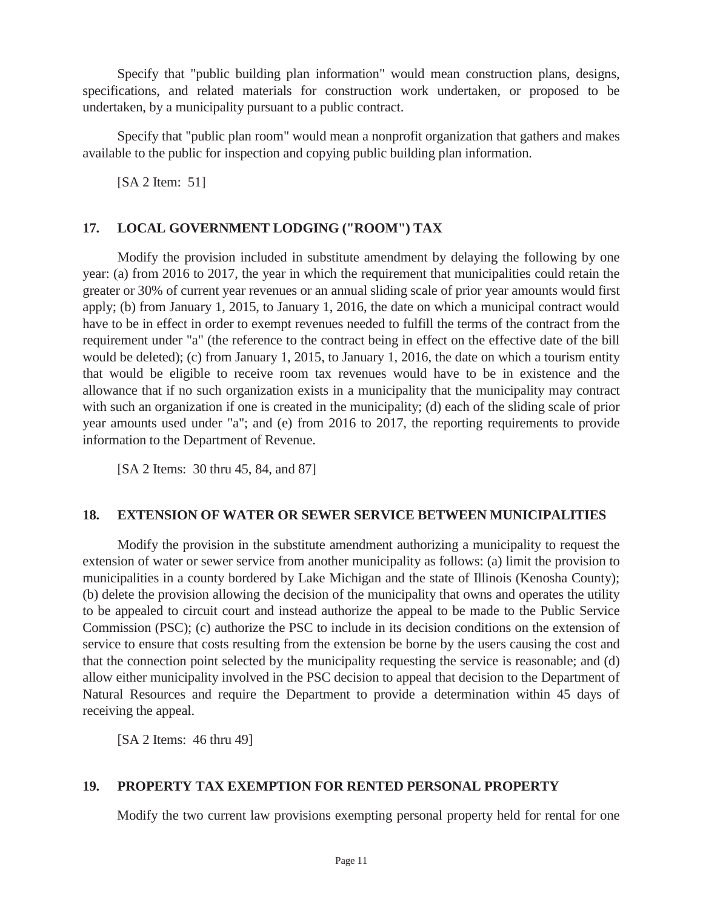Specify that "public building plan information" would mean construction plans, designs, specifications, and related materials for construction work undertaken, or proposed to be undertaken, by a municipality pursuant to a public contract.

 Specify that "public plan room" would mean a nonprofit organization that gathers and makes available to the public for inspection and copying public building plan information.

[SA 2 Item: 51]

## **17. LOCAL GOVERNMENT LODGING ("ROOM") TAX**

 Modify the provision included in substitute amendment by delaying the following by one year: (a) from 2016 to 2017, the year in which the requirement that municipalities could retain the greater or 30% of current year revenues or an annual sliding scale of prior year amounts would first apply; (b) from January 1, 2015, to January 1, 2016, the date on which a municipal contract would have to be in effect in order to exempt revenues needed to fulfill the terms of the contract from the requirement under "a" (the reference to the contract being in effect on the effective date of the bill would be deleted); (c) from January 1, 2015, to January 1, 2016, the date on which a tourism entity that would be eligible to receive room tax revenues would have to be in existence and the allowance that if no such organization exists in a municipality that the municipality may contract with such an organization if one is created in the municipality; (d) each of the sliding scale of prior year amounts used under "a"; and (e) from 2016 to 2017, the reporting requirements to provide information to the Department of Revenue.

[SA 2 Items: 30 thru 45, 84, and 87]

#### **18. EXTENSION OF WATER OR SEWER SERVICE BETWEEN MUNICIPALITIES**

Modify the provision in the substitute amendment authorizing a municipality to request the extension of water or sewer service from another municipality as follows: (a) limit the provision to municipalities in a county bordered by Lake Michigan and the state of Illinois (Kenosha County); (b) delete the provision allowing the decision of the municipality that owns and operates the utility to be appealed to circuit court and instead authorize the appeal to be made to the Public Service Commission (PSC); (c) authorize the PSC to include in its decision conditions on the extension of service to ensure that costs resulting from the extension be borne by the users causing the cost and that the connection point selected by the municipality requesting the service is reasonable; and (d) allow either municipality involved in the PSC decision to appeal that decision to the Department of Natural Resources and require the Department to provide a determination within 45 days of receiving the appeal.

[SA 2 Items: 46 thru 49]

#### **19. PROPERTY TAX EXEMPTION FOR RENTED PERSONAL PROPERTY**

Modify the two current law provisions exempting personal property held for rental for one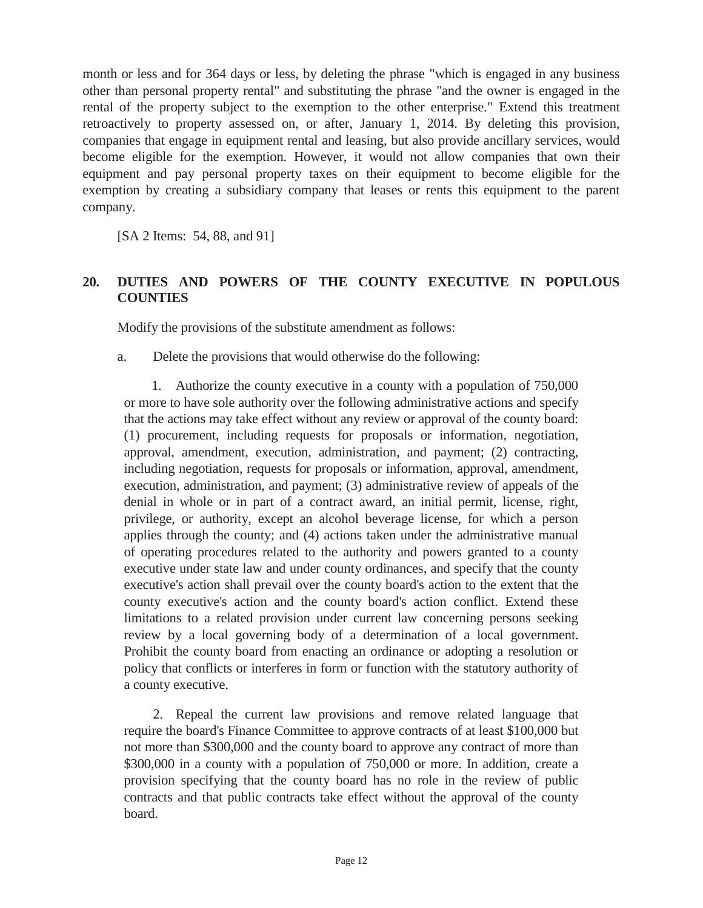month or less and for 364 days or less, by deleting the phrase "which is engaged in any business other than personal property rental" and substituting the phrase "and the owner is engaged in the rental of the property subject to the exemption to the other enterprise." Extend this treatment retroactively to property assessed on, or after, January 1, 2014. By deleting this provision, companies that engage in equipment rental and leasing, but also provide ancillary services, would become eligible for the exemption. However, it would not allow companies that own their equipment and pay personal property taxes on their equipment to become eligible for the exemption by creating a subsidiary company that leases or rents this equipment to the parent company.

[SA 2 Items: 54, 88, and 91]

### **20. DUTIES AND POWERS OF THE COUNTY EXECUTIVE IN POPULOUS COUNTIES**

Modify the provisions of the substitute amendment as follows:

a. Delete the provisions that would otherwise do the following:

 1. Authorize the county executive in a county with a population of 750,000 or more to have sole authority over the following administrative actions and specify that the actions may take effect without any review or approval of the county board: (1) procurement, including requests for proposals or information, negotiation, approval, amendment, execution, administration, and payment; (2) contracting, including negotiation, requests for proposals or information, approval, amendment, execution, administration, and payment; (3) administrative review of appeals of the denial in whole or in part of a contract award, an initial permit, license, right, privilege, or authority, except an alcohol beverage license, for which a person applies through the county; and (4) actions taken under the administrative manual of operating procedures related to the authority and powers granted to a county executive under state law and under county ordinances, and specify that the county executive's action shall prevail over the county board's action to the extent that the county executive's action and the county board's action conflict. Extend these limitations to a related provision under current law concerning persons seeking review by a local governing body of a determination of a local government. Prohibit the county board from enacting an ordinance or adopting a resolution or policy that conflicts or interferes in form or function with the statutory authority of a county executive.

 2. Repeal the current law provisions and remove related language that require the board's Finance Committee to approve contracts of at least \$100,000 but not more than \$300,000 and the county board to approve any contract of more than \$300,000 in a county with a population of 750,000 or more. In addition, create a provision specifying that the county board has no role in the review of public contracts and that public contracts take effect without the approval of the county board.